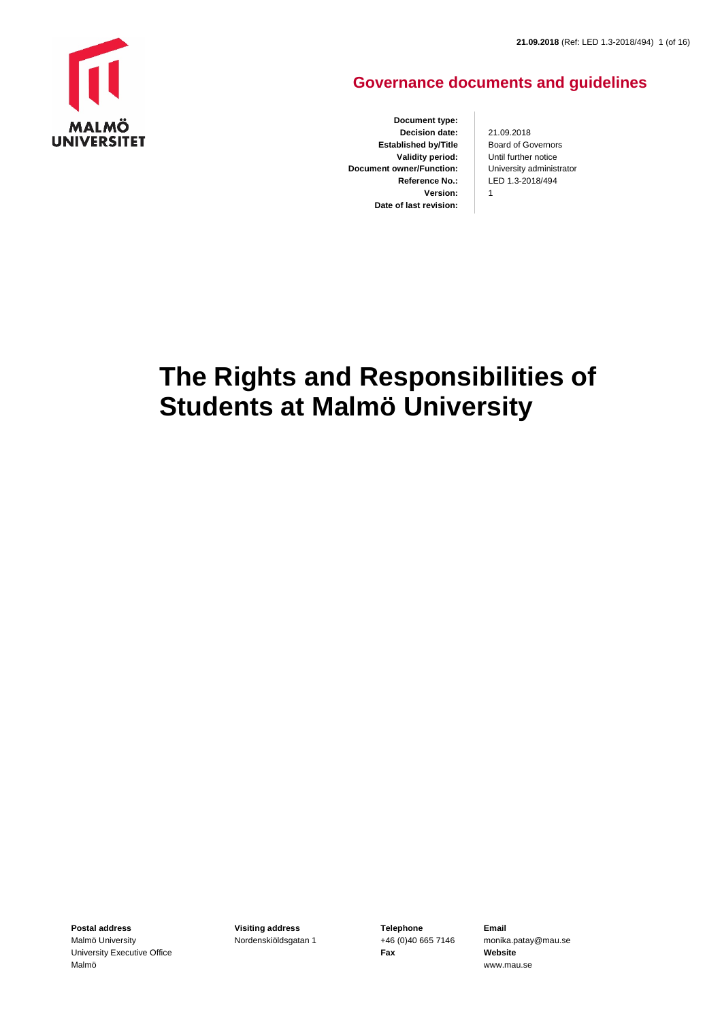

## **Governance documents and guidelines**

**Document type: Decision date: Established by/Title Validity period: Document owner/Function: Reference No.: Version: Date of last revision:**

21.09.2018 Board of Governors Until further notice University administrator LED 1.3-2018/494 1

# **The Rights and Responsibilities of Students at Malmö University**

**Postal address** Malmö University University Executive Office Malmö

**Visiting address** Nordenskiöldsgatan 1 **Telephone** +46 (0)40 665 7146 **Fax**

**Email** monika.patay@mau.se **Website** www.mau.se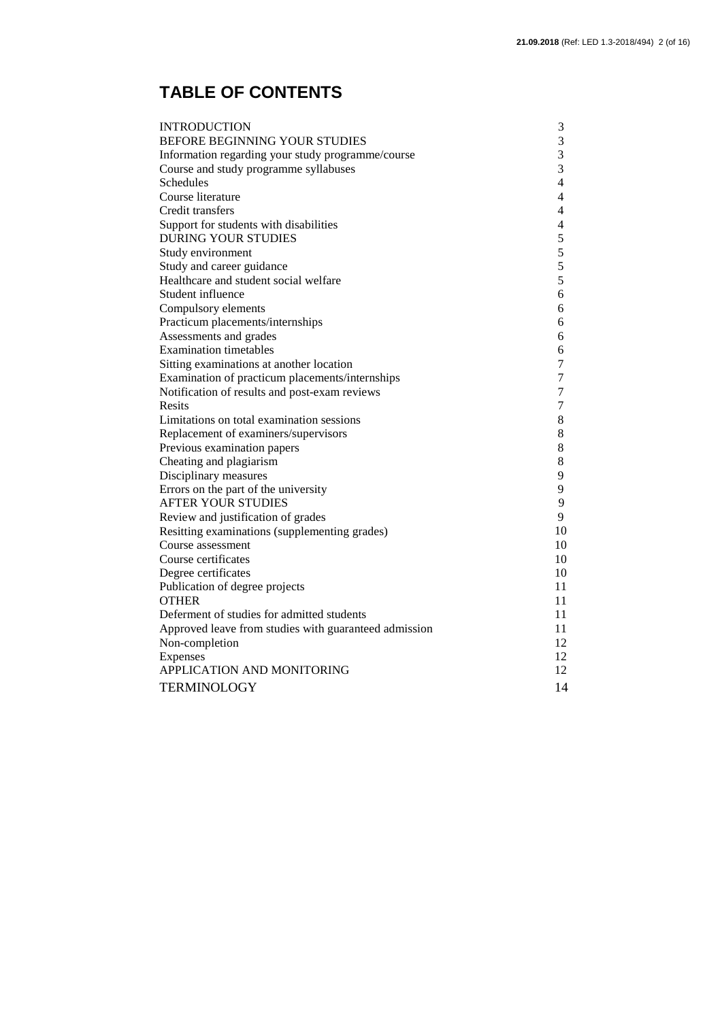## **TABLE OF CONTENTS**

| <b>INTRODUCTION</b>                                   | 3                        |
|-------------------------------------------------------|--------------------------|
| BEFORE BEGINNING YOUR STUDIES                         | 3                        |
| Information regarding your study programme/course     | 3                        |
| Course and study programme syllabuses                 | 3                        |
| Schedules                                             | $\overline{4}$           |
| Course literature                                     | $\overline{4}$           |
| Credit transfers                                      | $\overline{4}$           |
| Support for students with disabilities                | $\overline{\mathcal{A}}$ |
| <b>DURING YOUR STUDIES</b>                            | 5                        |
| Study environment                                     | 5                        |
| Study and career guidance                             | 5                        |
| Healthcare and student social welfare                 | 5                        |
| Student influence                                     | 6                        |
| Compulsory elements                                   | 6                        |
| Practicum placements/internships                      | 6                        |
| Assessments and grades                                | 6                        |
| <b>Examination timetables</b>                         | 6                        |
| Sitting examinations at another location              | 7                        |
| Examination of practicum placements/internships       | $\boldsymbol{7}$         |
| Notification of results and post-exam reviews         | $\tau$                   |
| Resits                                                | $\boldsymbol{7}$         |
| Limitations on total examination sessions             | 8                        |
| Replacement of examiners/supervisors                  | $8\,$                    |
| Previous examination papers                           | $8\,$                    |
| Cheating and plagiarism                               | $\,8\,$                  |
| Disciplinary measures                                 | 9                        |
| Errors on the part of the university                  | 9                        |
| <b>AFTER YOUR STUDIES</b>                             | 9                        |
| Review and justification of grades                    | 9                        |
| Resitting examinations (supplementing grades)         | 10                       |
| Course assessment                                     | 10                       |
| Course certificates                                   | 10                       |
| Degree certificates                                   | 10                       |
| Publication of degree projects                        | 11                       |
| <b>OTHER</b>                                          | 11                       |
| Deferment of studies for admitted students            | 11                       |
| Approved leave from studies with guaranteed admission | 11                       |
| Non-completion                                        | 12                       |
| Expenses                                              | 12                       |
| APPLICATION AND MONITORING                            | 12                       |
| <b>TERMINOLOGY</b>                                    | 14                       |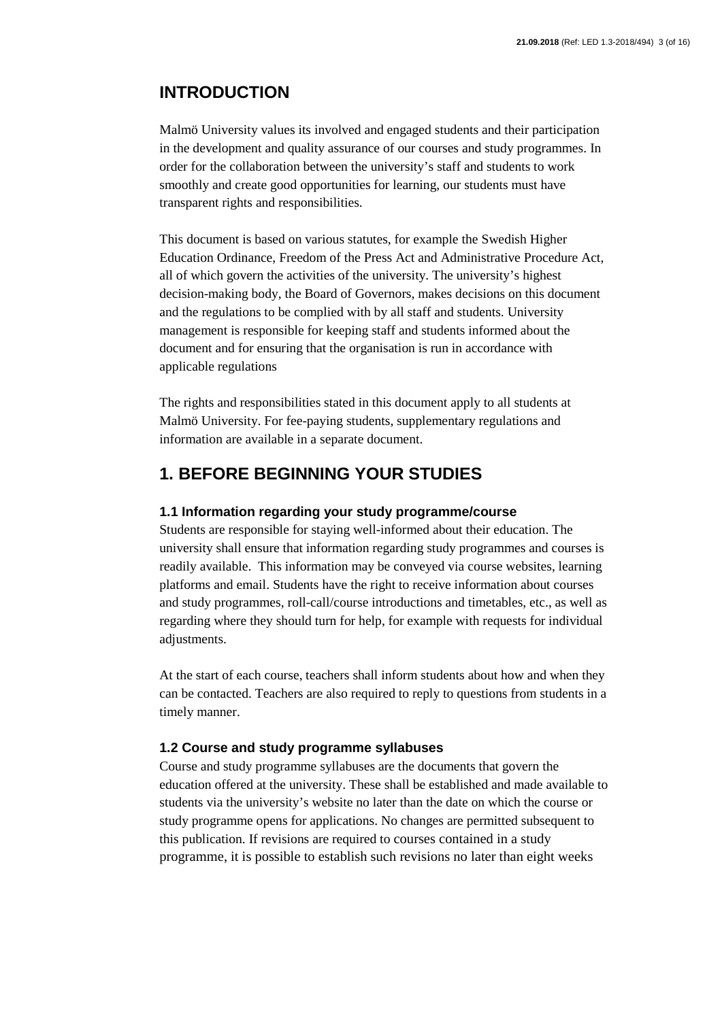## **INTRODUCTION**

Malmö University values its involved and engaged students and their participation in the development and quality assurance of our courses and study programmes. In order for the collaboration between the university's staff and students to work smoothly and create good opportunities for learning, our students must have transparent rights and responsibilities.

This document is based on various statutes, for example the Swedish Higher Education Ordinance, Freedom of the Press Act and Administrative Procedure Act, all of which govern the activities of the university. The university's highest decision-making body, the Board of Governors, makes decisions on this document and the regulations to be complied with by all staff and students. University management is responsible for keeping staff and students informed about the document and for ensuring that the organisation is run in accordance with applicable regulations

The rights and responsibilities stated in this document apply to all students at Malmö University. For fee-paying students, supplementary regulations and information are available in a separate document.

## **1. BEFORE BEGINNING YOUR STUDIES**

#### **1.1 Information regarding your study programme/course**

Students are responsible for staying well-informed about their education. The university shall ensure that information regarding study programmes and courses is readily available. This information may be conveyed via course websites, learning platforms and email. Students have the right to receive information about courses and study programmes, roll-call/course introductions and timetables, etc., as well as regarding where they should turn for help, for example with requests for individual adjustments.

At the start of each course, teachers shall inform students about how and when they can be contacted. Teachers are also required to reply to questions from students in a timely manner.

#### **1.2 Course and study programme syllabuses**

Course and study programme syllabuses are the documents that govern the education offered at the university. These shall be established and made available to students via the university's website no later than the date on which the course or study programme opens for applications. No changes are permitted subsequent to this publication. If revisions are required to courses contained in a study programme, it is possible to establish such revisions no later than eight weeks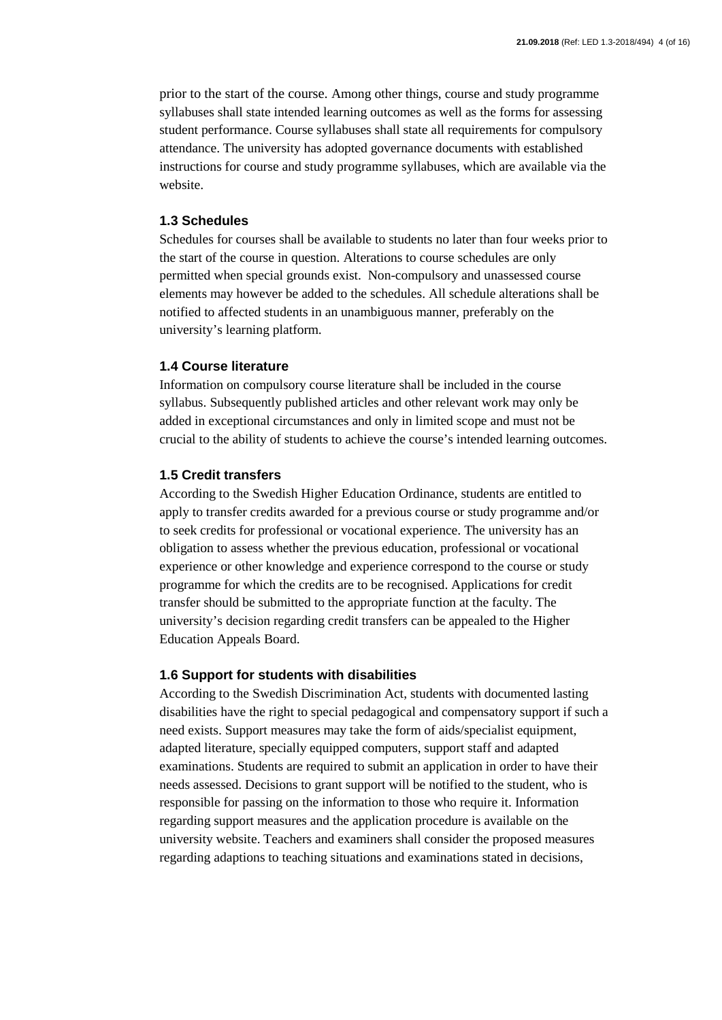prior to the start of the course. Among other things, course and study programme syllabuses shall state intended learning outcomes as well as the forms for assessing student performance. Course syllabuses shall state all requirements for compulsory attendance. The university has adopted governance documents with established instructions for course and study programme syllabuses, which are available via the website.

#### **1.3 Schedules**

Schedules for courses shall be available to students no later than four weeks prior to the start of the course in question. Alterations to course schedules are only permitted when special grounds exist. Non-compulsory and unassessed course elements may however be added to the schedules. All schedule alterations shall be notified to affected students in an unambiguous manner, preferably on the university's learning platform.

#### **1.4 Course literature**

Information on compulsory course literature shall be included in the course syllabus. Subsequently published articles and other relevant work may only be added in exceptional circumstances and only in limited scope and must not be crucial to the ability of students to achieve the course's intended learning outcomes.

#### **1.5 Credit transfers**

According to the Swedish Higher Education Ordinance, students are entitled to apply to transfer credits awarded for a previous course or study programme and/or to seek credits for professional or vocational experience. The university has an obligation to assess whether the previous education, professional or vocational experience or other knowledge and experience correspond to the course or study programme for which the credits are to be recognised. Applications for credit transfer should be submitted to the appropriate function at the faculty. The university's decision regarding credit transfers can be appealed to the Higher Education Appeals Board.

#### **1.6 Support for students with disabilities**

According to the Swedish Discrimination Act, students with documented lasting disabilities have the right to special pedagogical and compensatory support if such a need exists. Support measures may take the form of aids/specialist equipment, adapted literature, specially equipped computers, support staff and adapted examinations. Students are required to submit an application in order to have their needs assessed. Decisions to grant support will be notified to the student, who is responsible for passing on the information to those who require it. Information regarding support measures and the application procedure is available on the university website. Teachers and examiners shall consider the proposed measures regarding adaptions to teaching situations and examinations stated in decisions,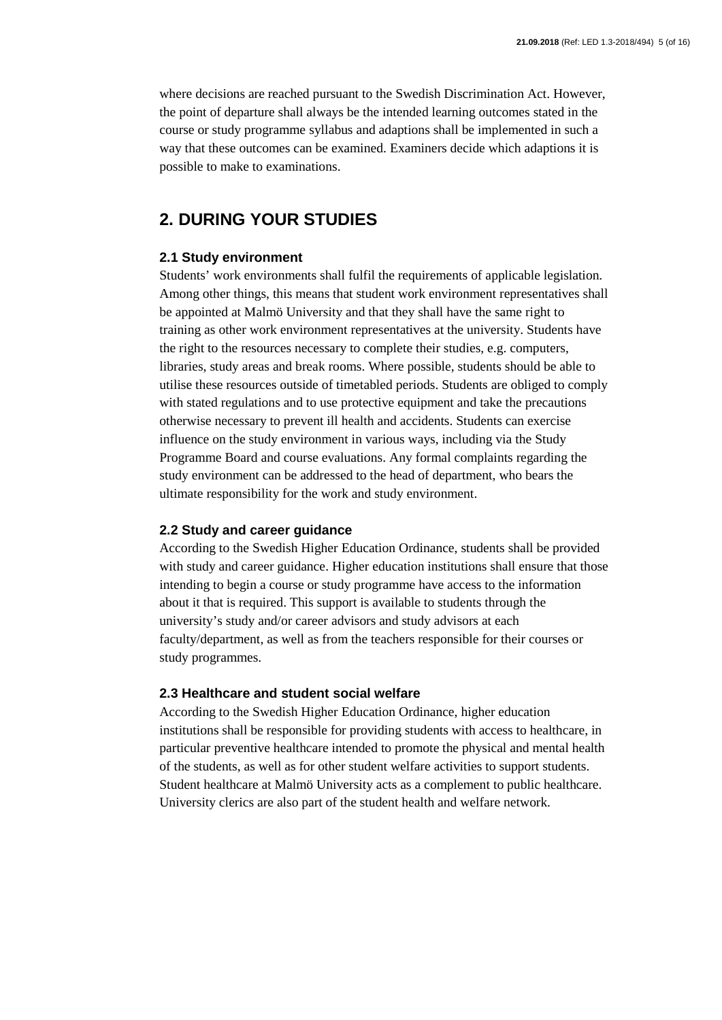where decisions are reached pursuant to the Swedish Discrimination Act. However, the point of departure shall always be the intended learning outcomes stated in the course or study programme syllabus and adaptions shall be implemented in such a way that these outcomes can be examined. Examiners decide which adaptions it is possible to make to examinations.

## **2. DURING YOUR STUDIES**

#### **2.1 Study environment**

Students' work environments shall fulfil the requirements of applicable legislation. Among other things, this means that student work environment representatives shall be appointed at Malmö University and that they shall have the same right to training as other work environment representatives at the university. Students have the right to the resources necessary to complete their studies, e.g. computers, libraries, study areas and break rooms. Where possible, students should be able to utilise these resources outside of timetabled periods. Students are obliged to comply with stated regulations and to use protective equipment and take the precautions otherwise necessary to prevent ill health and accidents. Students can exercise influence on the study environment in various ways, including via the Study Programme Board and course evaluations. Any formal complaints regarding the study environment can be addressed to the head of department, who bears the ultimate responsibility for the work and study environment.

#### **2.2 Study and career guidance**

According to the Swedish Higher Education Ordinance, students shall be provided with study and career guidance. Higher education institutions shall ensure that those intending to begin a course or study programme have access to the information about it that is required. This support is available to students through the university's study and/or career advisors and study advisors at each faculty/department, as well as from the teachers responsible for their courses or study programmes.

#### **2.3 Healthcare and student social welfare**

According to the Swedish Higher Education Ordinance, higher education institutions shall be responsible for providing students with access to healthcare, in particular preventive healthcare intended to promote the physical and mental health of the students, as well as for other student welfare activities to support students. Student healthcare at Malmö University acts as a complement to public healthcare. University clerics are also part of the student health and welfare network.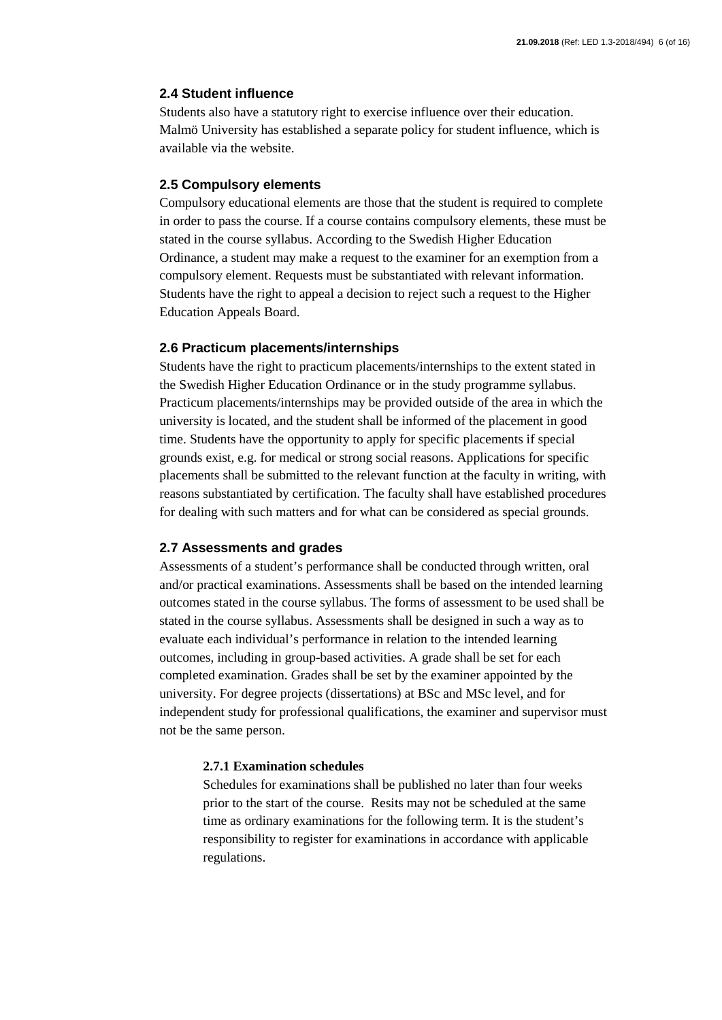#### **2.4 Student influence**

Students also have a statutory right to exercise influence over their education. Malmö University has established a separate policy for student influence, which is available via the website.

#### **2.5 Compulsory elements**

Compulsory educational elements are those that the student is required to complete in order to pass the course. If a course contains compulsory elements, these must be stated in the course syllabus. According to the Swedish Higher Education Ordinance, a student may make a request to the examiner for an exemption from a compulsory element. Requests must be substantiated with relevant information. Students have the right to appeal a decision to reject such a request to the Higher Education Appeals Board.

#### **2.6 Practicum placements/internships**

Students have the right to practicum placements/internships to the extent stated in the Swedish Higher Education Ordinance or in the study programme syllabus. Practicum placements/internships may be provided outside of the area in which the university is located, and the student shall be informed of the placement in good time. Students have the opportunity to apply for specific placements if special grounds exist, e.g. for medical or strong social reasons. Applications for specific placements shall be submitted to the relevant function at the faculty in writing, with reasons substantiated by certification. The faculty shall have established procedures for dealing with such matters and for what can be considered as special grounds.

#### **2.7 Assessments and grades**

Assessments of a student's performance shall be conducted through written, oral and/or practical examinations. Assessments shall be based on the intended learning outcomes stated in the course syllabus. The forms of assessment to be used shall be stated in the course syllabus. Assessments shall be designed in such a way as to evaluate each individual's performance in relation to the intended learning outcomes, including in group-based activities. A grade shall be set for each completed examination. Grades shall be set by the examiner appointed by the university. For degree projects (dissertations) at BSc and MSc level, and for independent study for professional qualifications, the examiner and supervisor must not be the same person.

#### **2.7.1 Examination schedules**

Schedules for examinations shall be published no later than four weeks prior to the start of the course. Resits may not be scheduled at the same time as ordinary examinations for the following term. It is the student's responsibility to register for examinations in accordance with applicable regulations.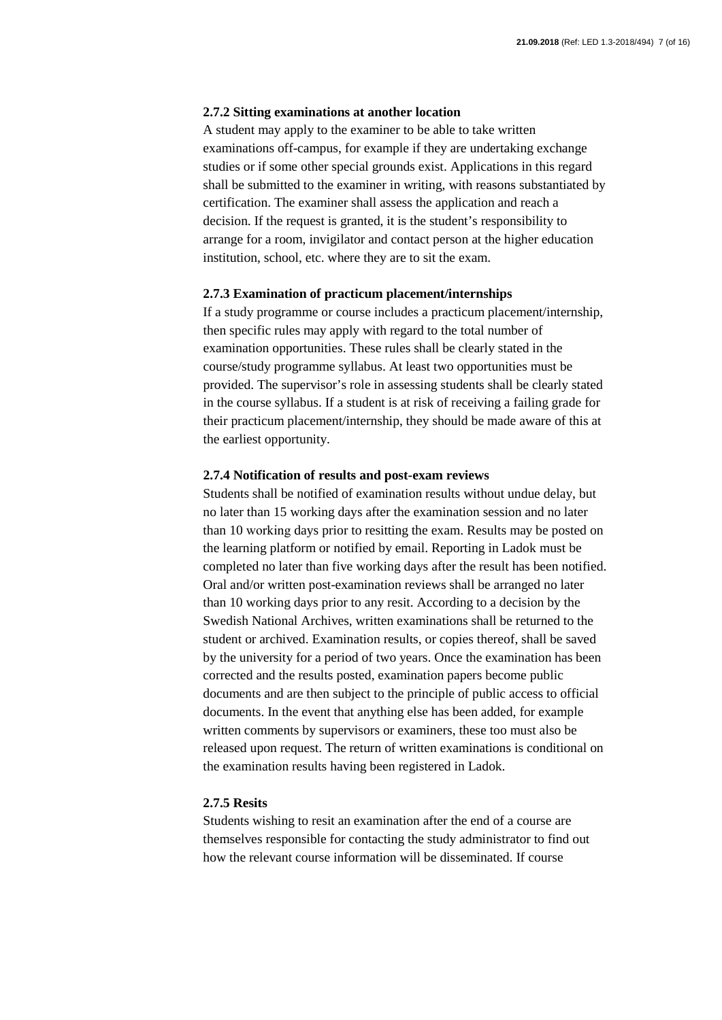#### **2.7.2 Sitting examinations at another location**

A student may apply to the examiner to be able to take written examinations off-campus, for example if they are undertaking exchange studies or if some other special grounds exist. Applications in this regard shall be submitted to the examiner in writing, with reasons substantiated by certification. The examiner shall assess the application and reach a decision. If the request is granted, it is the student's responsibility to arrange for a room, invigilator and contact person at the higher education institution, school, etc. where they are to sit the exam.

#### **2.7.3 Examination of practicum placement/internships**

If a study programme or course includes a practicum placement/internship, then specific rules may apply with regard to the total number of examination opportunities. These rules shall be clearly stated in the course/study programme syllabus. At least two opportunities must be provided. The supervisor's role in assessing students shall be clearly stated in the course syllabus. If a student is at risk of receiving a failing grade for their practicum placement/internship, they should be made aware of this at the earliest opportunity.

#### **2.7.4 Notification of results and post-exam reviews**

Students shall be notified of examination results without undue delay, but no later than 15 working days after the examination session and no later than 10 working days prior to resitting the exam. Results may be posted on the learning platform or notified by email. Reporting in Ladok must be completed no later than five working days after the result has been notified. Oral and/or written post-examination reviews shall be arranged no later than 10 working days prior to any resit. According to a decision by the Swedish National Archives, written examinations shall be returned to the student or archived. Examination results, or copies thereof, shall be saved by the university for a period of two years. Once the examination has been corrected and the results posted, examination papers become public documents and are then subject to the principle of public access to official documents. In the event that anything else has been added, for example written comments by supervisors or examiners, these too must also be released upon request. The return of written examinations is conditional on the examination results having been registered in Ladok.

#### **2.7.5 Resits**

Students wishing to resit an examination after the end of a course are themselves responsible for contacting the study administrator to find out how the relevant course information will be disseminated. If course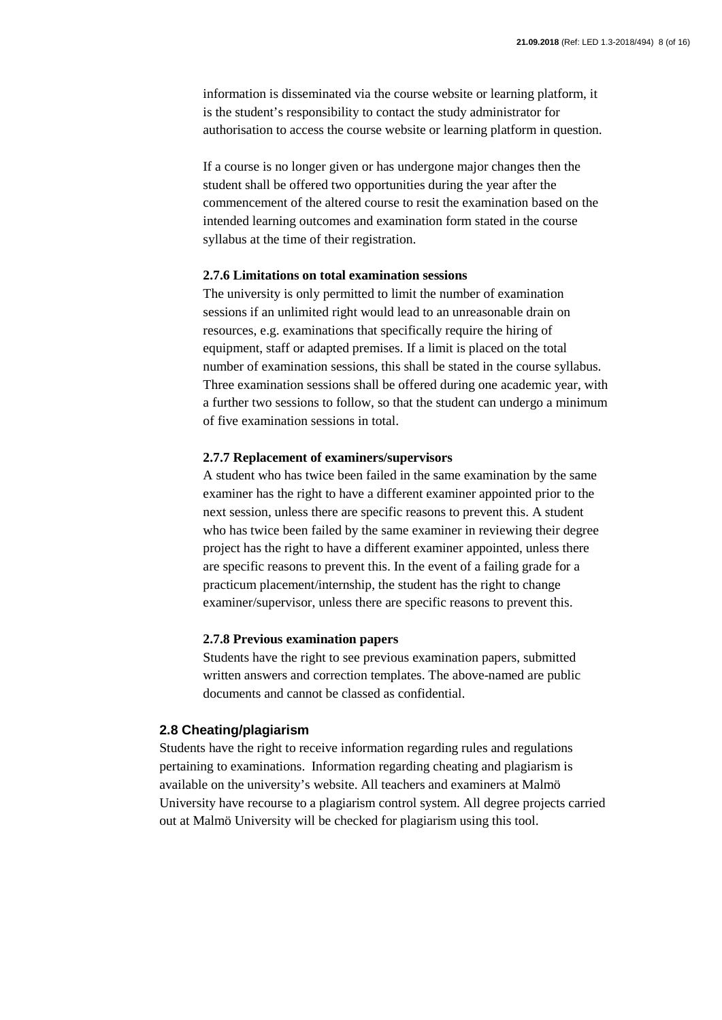information is disseminated via the course website or learning platform, it is the student's responsibility to contact the study administrator for authorisation to access the course website or learning platform in question.

If a course is no longer given or has undergone major changes then the student shall be offered two opportunities during the year after the commencement of the altered course to resit the examination based on the intended learning outcomes and examination form stated in the course syllabus at the time of their registration.

#### **2.7.6 Limitations on total examination sessions**

The university is only permitted to limit the number of examination sessions if an unlimited right would lead to an unreasonable drain on resources, e.g. examinations that specifically require the hiring of equipment, staff or adapted premises. If a limit is placed on the total number of examination sessions, this shall be stated in the course syllabus. Three examination sessions shall be offered during one academic year, with a further two sessions to follow, so that the student can undergo a minimum of five examination sessions in total.

#### **2.7.7 Replacement of examiners/supervisors**

A student who has twice been failed in the same examination by the same examiner has the right to have a different examiner appointed prior to the next session, unless there are specific reasons to prevent this. A student who has twice been failed by the same examiner in reviewing their degree project has the right to have a different examiner appointed, unless there are specific reasons to prevent this. In the event of a failing grade for a practicum placement/internship, the student has the right to change examiner/supervisor, unless there are specific reasons to prevent this.

#### **2.7.8 Previous examination papers**

Students have the right to see previous examination papers, submitted written answers and correction templates. The above-named are public documents and cannot be classed as confidential.

#### **2.8 Cheating/plagiarism**

Students have the right to receive information regarding rules and regulations pertaining to examinations. Information regarding cheating and plagiarism is available on the university's website. All teachers and examiners at Malmö University have recourse to a plagiarism control system. All degree projects carried out at Malmö University will be checked for plagiarism using this tool.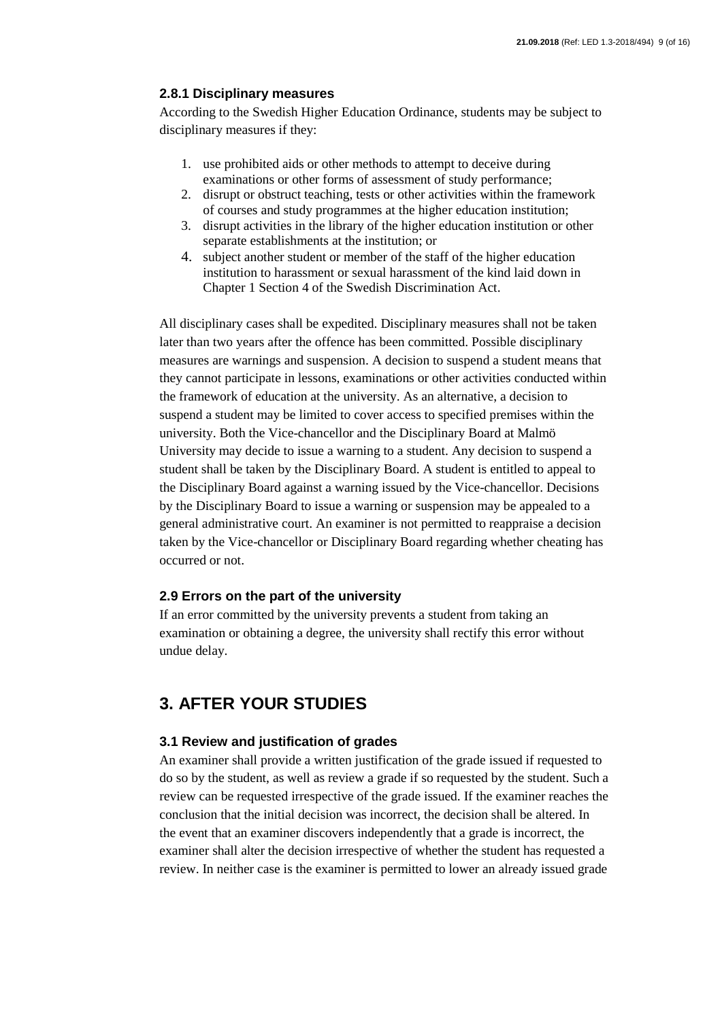#### **2.8.1 Disciplinary measures**

According to the Swedish Higher Education Ordinance, students may be subject to disciplinary measures if they:

- 1. use prohibited aids or other methods to attempt to deceive during examinations or other forms of assessment of study performance;
- 2. disrupt or obstruct teaching, tests or other activities within the framework of courses and study programmes at the higher education institution;
- 3. disrupt activities in the library of the higher education institution or other separate establishments at the institution; or
- 4. subject another student or member of the staff of the higher education institution to harassment or sexual harassment of the kind laid down in Chapter 1 Section 4 of the Swedish Discrimination Act.

All disciplinary cases shall be expedited. Disciplinary measures shall not be taken later than two years after the offence has been committed. Possible disciplinary measures are warnings and suspension. A decision to suspend a student means that they cannot participate in lessons, examinations or other activities conducted within the framework of education at the university. As an alternative, a decision to suspend a student may be limited to cover access to specified premises within the university. Both the Vice-chancellor and the Disciplinary Board at Malmö University may decide to issue a warning to a student. Any decision to suspend a student shall be taken by the Disciplinary Board. A student is entitled to appeal to the Disciplinary Board against a warning issued by the Vice-chancellor. Decisions by the Disciplinary Board to issue a warning or suspension may be appealed to a general administrative court. An examiner is not permitted to reappraise a decision taken by the Vice-chancellor or Disciplinary Board regarding whether cheating has occurred or not.

#### **2.9 Errors on the part of the university**

If an error committed by the university prevents a student from taking an examination or obtaining a degree, the university shall rectify this error without undue delay.

## **3. AFTER YOUR STUDIES**

#### **3.1 Review and justification of grades**

An examiner shall provide a written justification of the grade issued if requested to do so by the student, as well as review a grade if so requested by the student. Such a review can be requested irrespective of the grade issued. If the examiner reaches the conclusion that the initial decision was incorrect, the decision shall be altered. In the event that an examiner discovers independently that a grade is incorrect, the examiner shall alter the decision irrespective of whether the student has requested a review. In neither case is the examiner is permitted to lower an already issued grade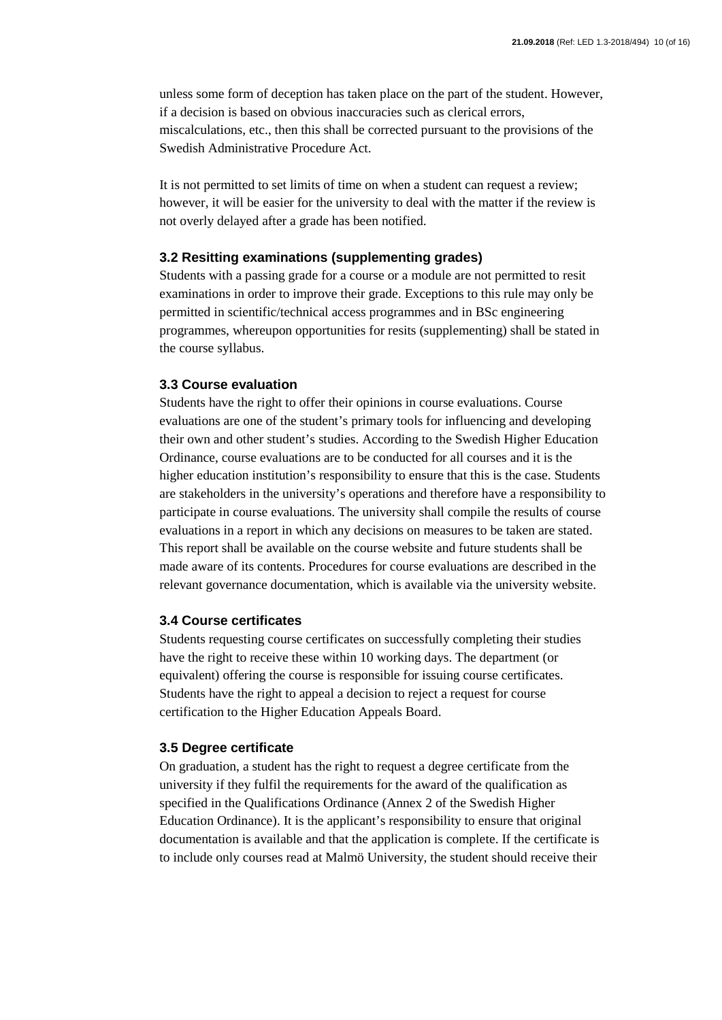unless some form of deception has taken place on the part of the student. However, if a decision is based on obvious inaccuracies such as clerical errors, miscalculations, etc., then this shall be corrected pursuant to the provisions of the Swedish Administrative Procedure Act.

It is not permitted to set limits of time on when a student can request a review; however, it will be easier for the university to deal with the matter if the review is not overly delayed after a grade has been notified.

#### **3.2 Resitting examinations (supplementing grades)**

Students with a passing grade for a course or a module are not permitted to resit examinations in order to improve their grade. Exceptions to this rule may only be permitted in scientific/technical access programmes and in BSc engineering programmes, whereupon opportunities for resits (supplementing) shall be stated in the course syllabus.

#### **3.3 Course evaluation**

Students have the right to offer their opinions in course evaluations. Course evaluations are one of the student's primary tools for influencing and developing their own and other student's studies. According to the Swedish Higher Education Ordinance, course evaluations are to be conducted for all courses and it is the higher education institution's responsibility to ensure that this is the case. Students are stakeholders in the university's operations and therefore have a responsibility to participate in course evaluations. The university shall compile the results of course evaluations in a report in which any decisions on measures to be taken are stated. This report shall be available on the course website and future students shall be made aware of its contents. Procedures for course evaluations are described in the relevant governance documentation, which is available via the university website.

#### **3.4 Course certificates**

Students requesting course certificates on successfully completing their studies have the right to receive these within 10 working days. The department (or equivalent) offering the course is responsible for issuing course certificates. Students have the right to appeal a decision to reject a request for course certification to the Higher Education Appeals Board.

#### **3.5 Degree certificate**

On graduation, a student has the right to request a degree certificate from the university if they fulfil the requirements for the award of the qualification as specified in the Qualifications Ordinance (Annex 2 of the Swedish Higher Education Ordinance). It is the applicant's responsibility to ensure that original documentation is available and that the application is complete. If the certificate is to include only courses read at Malmö University, the student should receive their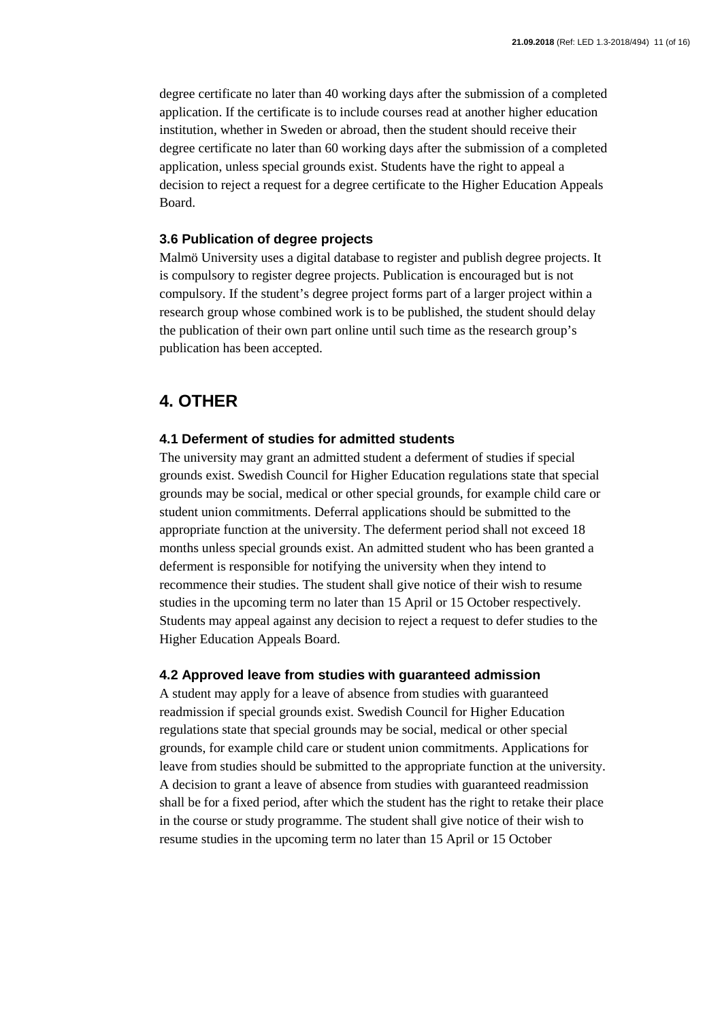degree certificate no later than 40 working days after the submission of a completed application. If the certificate is to include courses read at another higher education institution, whether in Sweden or abroad, then the student should receive their degree certificate no later than 60 working days after the submission of a completed application, unless special grounds exist. Students have the right to appeal a decision to reject a request for a degree certificate to the Higher Education Appeals Board.

#### **3.6 Publication of degree projects**

Malmö University uses a digital database to register and publish degree projects. It is compulsory to register degree projects. Publication is encouraged but is not compulsory. If the student's degree project forms part of a larger project within a research group whose combined work is to be published, the student should delay the publication of their own part online until such time as the research group's publication has been accepted.

## **4. OTHER**

#### **4.1 Deferment of studies for admitted students**

The university may grant an admitted student a deferment of studies if special grounds exist. Swedish Council for Higher Education regulations state that special grounds may be social, medical or other special grounds, for example child care or student union commitments. Deferral applications should be submitted to the appropriate function at the university. The deferment period shall not exceed 18 months unless special grounds exist. An admitted student who has been granted a deferment is responsible for notifying the university when they intend to recommence their studies. The student shall give notice of their wish to resume studies in the upcoming term no later than 15 April or 15 October respectively. Students may appeal against any decision to reject a request to defer studies to the Higher Education Appeals Board.

#### **4.2 Approved leave from studies with guaranteed admission**

A student may apply for a leave of absence from studies with guaranteed readmission if special grounds exist. Swedish Council for Higher Education regulations state that special grounds may be social, medical or other special grounds, for example child care or student union commitments. Applications for leave from studies should be submitted to the appropriate function at the university. A decision to grant a leave of absence from studies with guaranteed readmission shall be for a fixed period, after which the student has the right to retake their place in the course or study programme. The student shall give notice of their wish to resume studies in the upcoming term no later than 15 April or 15 October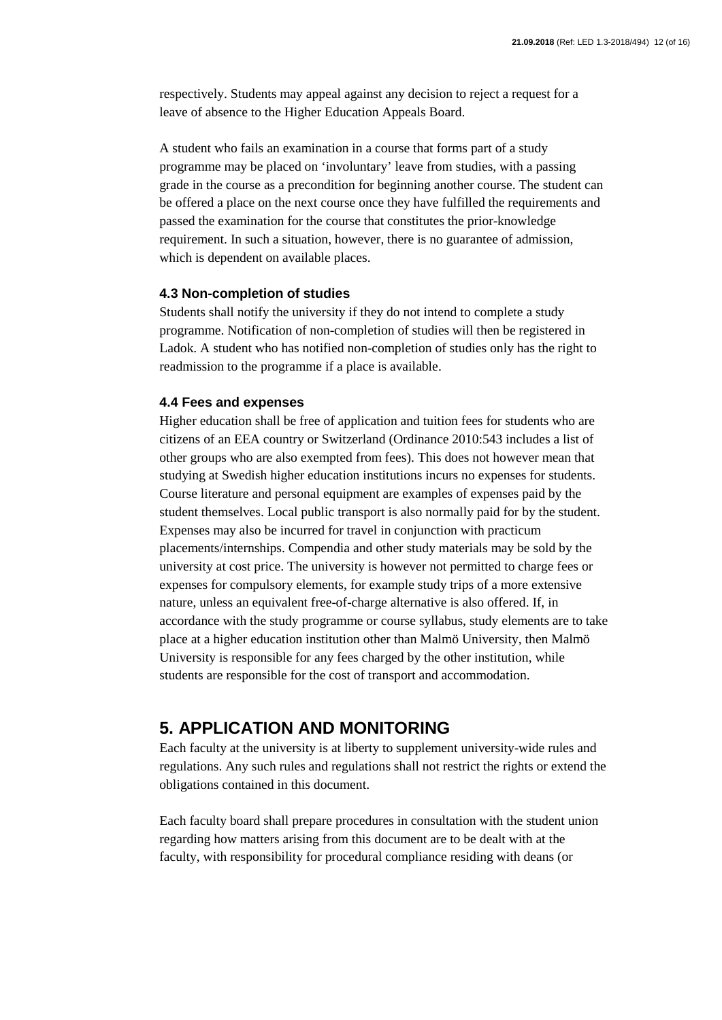respectively. Students may appeal against any decision to reject a request for a leave of absence to the Higher Education Appeals Board.

A student who fails an examination in a course that forms part of a study programme may be placed on 'involuntary' leave from studies, with a passing grade in the course as a precondition for beginning another course. The student can be offered a place on the next course once they have fulfilled the requirements and passed the examination for the course that constitutes the prior-knowledge requirement. In such a situation, however, there is no guarantee of admission, which is dependent on available places.

#### **4.3 Non-completion of studies**

Students shall notify the university if they do not intend to complete a study programme. Notification of non-completion of studies will then be registered in Ladok. A student who has notified non-completion of studies only has the right to readmission to the programme if a place is available.

#### **4.4 Fees and expenses**

Higher education shall be free of application and tuition fees for students who are citizens of an EEA country or Switzerland (Ordinance 2010:543 includes a list of other groups who are also exempted from fees). This does not however mean that studying at Swedish higher education institutions incurs no expenses for students. Course literature and personal equipment are examples of expenses paid by the student themselves. Local public transport is also normally paid for by the student. Expenses may also be incurred for travel in conjunction with practicum placements/internships. Compendia and other study materials may be sold by the university at cost price. The university is however not permitted to charge fees or expenses for compulsory elements, for example study trips of a more extensive nature, unless an equivalent free-of-charge alternative is also offered. If, in accordance with the study programme or course syllabus, study elements are to take place at a higher education institution other than Malmö University, then Malmö University is responsible for any fees charged by the other institution, while students are responsible for the cost of transport and accommodation.

### **5. APPLICATION AND MONITORING**

Each faculty at the university is at liberty to supplement university-wide rules and regulations. Any such rules and regulations shall not restrict the rights or extend the obligations contained in this document.

Each faculty board shall prepare procedures in consultation with the student union regarding how matters arising from this document are to be dealt with at the faculty, with responsibility for procedural compliance residing with deans (or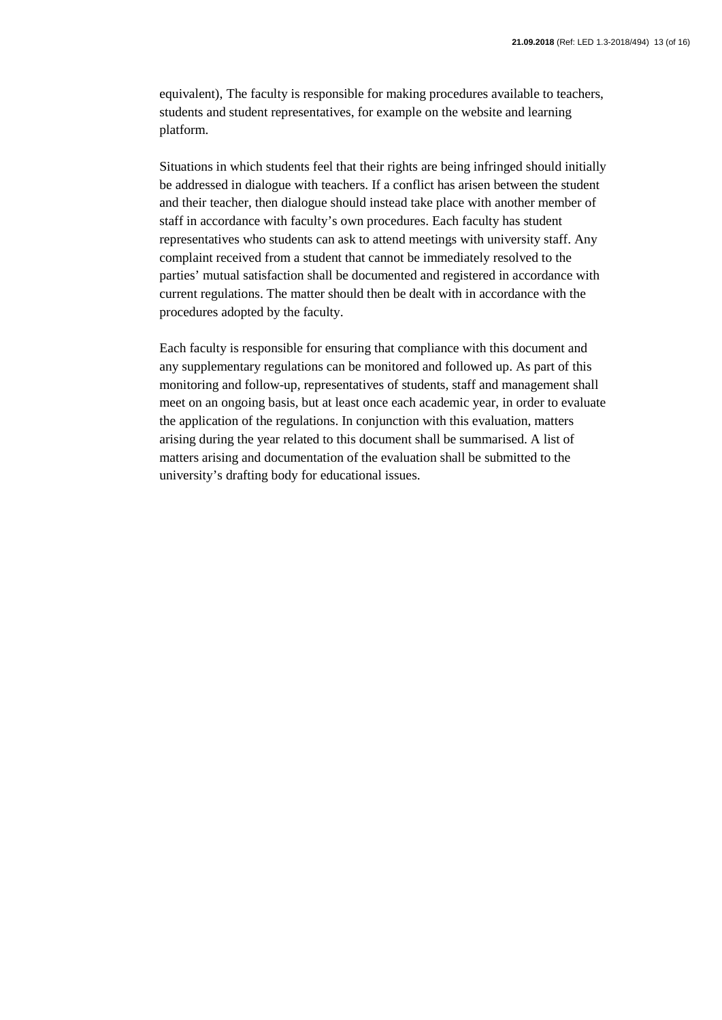equivalent), The faculty is responsible for making procedures available to teachers, students and student representatives, for example on the website and learning platform.

Situations in which students feel that their rights are being infringed should initially be addressed in dialogue with teachers. If a conflict has arisen between the student and their teacher, then dialogue should instead take place with another member of staff in accordance with faculty's own procedures. Each faculty has student representatives who students can ask to attend meetings with university staff. Any complaint received from a student that cannot be immediately resolved to the parties' mutual satisfaction shall be documented and registered in accordance with current regulations. The matter should then be dealt with in accordance with the procedures adopted by the faculty.

Each faculty is responsible for ensuring that compliance with this document and any supplementary regulations can be monitored and followed up. As part of this monitoring and follow-up, representatives of students, staff and management shall meet on an ongoing basis, but at least once each academic year, in order to evaluate the application of the regulations. In conjunction with this evaluation, matters arising during the year related to this document shall be summarised. A list of matters arising and documentation of the evaluation shall be submitted to the university's drafting body for educational issues.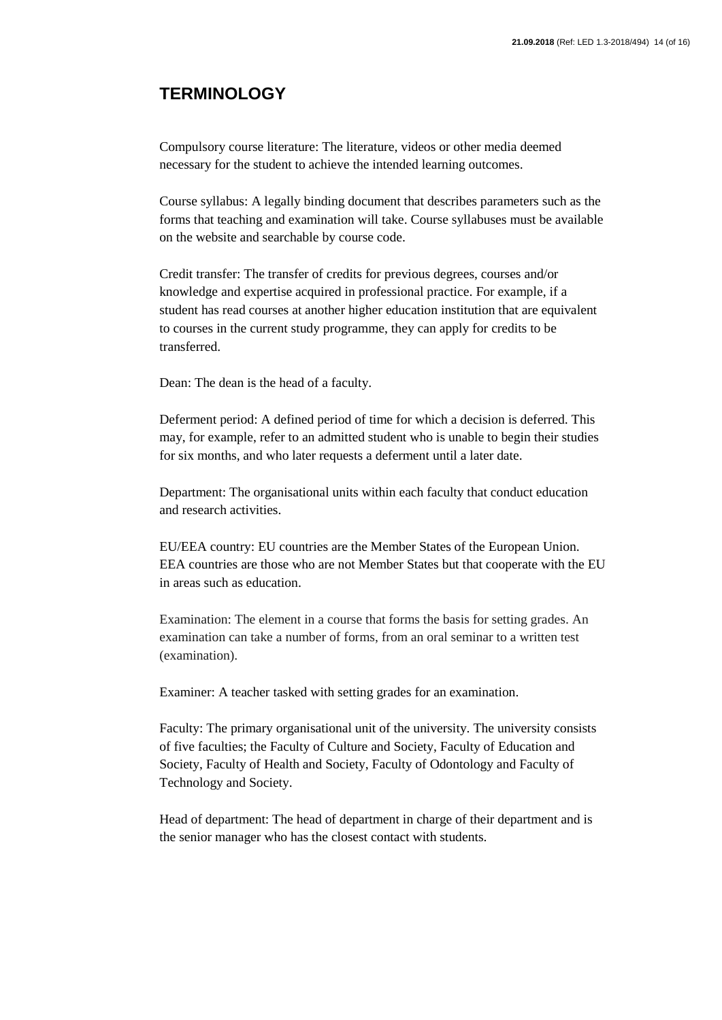## **TERMINOLOGY**

Compulsory course literature: The literature, videos or other media deemed necessary for the student to achieve the intended learning outcomes.

Course syllabus: A legally binding document that describes parameters such as the forms that teaching and examination will take. Course syllabuses must be available on the website and searchable by course code.

Credit transfer: The transfer of credits for previous degrees, courses and/or knowledge and expertise acquired in professional practice. For example, if a student has read courses at another higher education institution that are equivalent to courses in the current study programme, they can apply for credits to be transferred.

Dean: The dean is the head of a faculty.

Deferment period: A defined period of time for which a decision is deferred. This may, for example, refer to an admitted student who is unable to begin their studies for six months, and who later requests a deferment until a later date.

Department: The organisational units within each faculty that conduct education and research activities.

EU/EEA country: EU countries are the Member States of the European Union. EEA countries are those who are not Member States but that cooperate with the EU in areas such as education.

Examination: The element in a course that forms the basis for setting grades. An examination can take a number of forms, from an oral seminar to a written test (examination).

Examiner: A teacher tasked with setting grades for an examination.

Faculty: The primary organisational unit of the university. The university consists of five faculties; the Faculty of Culture and Society, Faculty of Education and Society, Faculty of Health and Society, Faculty of Odontology and Faculty of Technology and Society.

Head of department: The head of department in charge of their department and is the senior manager who has the closest contact with students.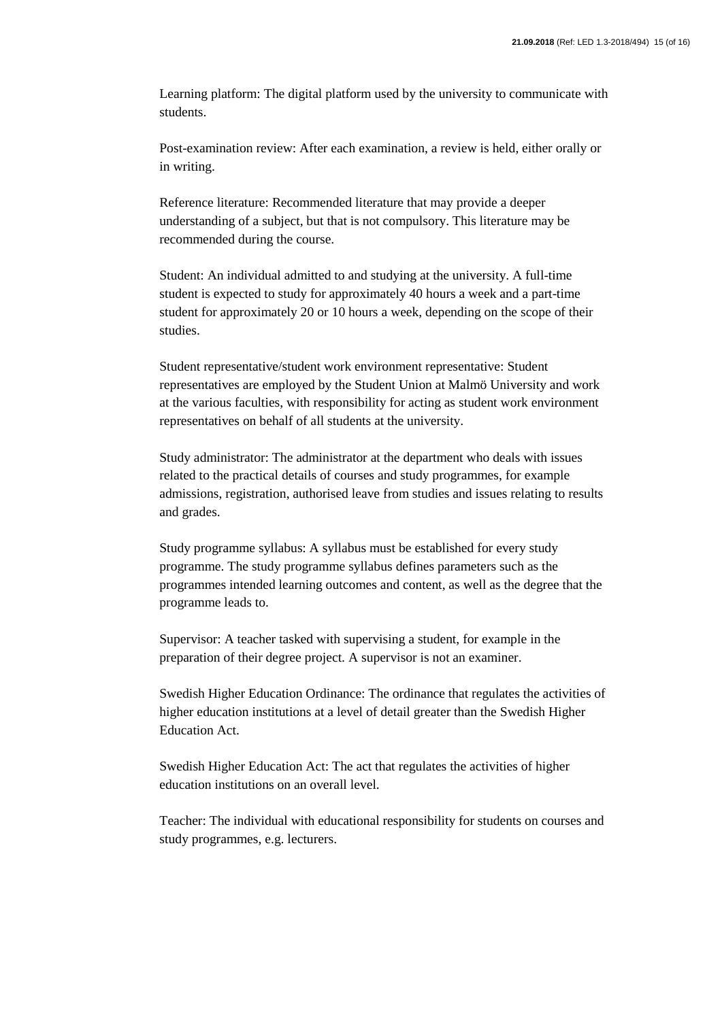Learning platform: The digital platform used by the university to communicate with students.

Post-examination review: After each examination, a review is held, either orally or in writing.

Reference literature: Recommended literature that may provide a deeper understanding of a subject, but that is not compulsory. This literature may be recommended during the course.

Student: An individual admitted to and studying at the university. A full-time student is expected to study for approximately 40 hours a week and a part-time student for approximately 20 or 10 hours a week, depending on the scope of their studies.

Student representative/student work environment representative: Student representatives are employed by the Student Union at Malmö University and work at the various faculties, with responsibility for acting as student work environment representatives on behalf of all students at the university.

Study administrator: The administrator at the department who deals with issues related to the practical details of courses and study programmes, for example admissions, registration, authorised leave from studies and issues relating to results and grades.

Study programme syllabus: A syllabus must be established for every study programme. The study programme syllabus defines parameters such as the programmes intended learning outcomes and content, as well as the degree that the programme leads to.

Supervisor: A teacher tasked with supervising a student, for example in the preparation of their degree project. A supervisor is not an examiner.

Swedish Higher Education Ordinance: The ordinance that regulates the activities of higher education institutions at a level of detail greater than the Swedish Higher Education Act.

Swedish Higher Education Act: The act that regulates the activities of higher education institutions on an overall level.

Teacher: The individual with educational responsibility for students on courses and study programmes, e.g. lecturers.